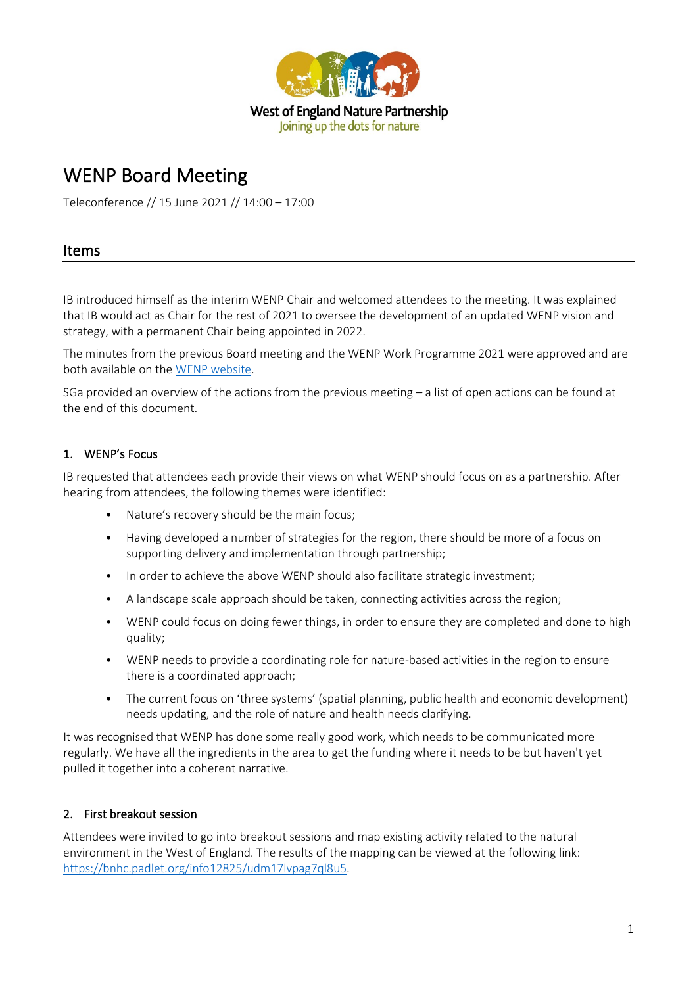

# WENP Board Meeting

Teleconference // 15 June 2021 // 14:00 – 17:00

## Items

IB introduced himself as the interim WENP Chair and welcomed attendees to the meeting. It was explained that IB would act as Chair for the rest of 2021 to oversee the development of an updated WENP vision and strategy, with a permanent Chair being appointed in 2022.

The minutes from the previous Board meeting and the WENP Work Programme 2021 were approved and are both available on the [WENP website.](https://www.wenp.org.uk/)

SGa provided an overview of the actions from the previous meeting – a list of open actions can be found at the end of this document.

## 1. WENP's Focus

IB requested that attendees each provide their views on what WENP should focus on as a partnership. After hearing from attendees, the following themes were identified:

- Nature's recovery should be the main focus;
- Having developed a number of strategies for the region, there should be more of a focus on supporting delivery and implementation through partnership;
- In order to achieve the above WENP should also facilitate strategic investment;
- A landscape scale approach should be taken, connecting activities across the region;
- WENP could focus on doing fewer things, in order to ensure they are completed and done to high quality;
- WENP needs to provide a coordinating role for nature-based activities in the region to ensure there is a coordinated approach;
- The current focus on 'three systems' (spatial planning, public health and economic development) needs updating, and the role of nature and health needs clarifying.

It was recognised that WENP has done some really good work, which needs to be communicated more regularly. We have all the ingredients in the area to get the funding where it needs to be but haven't yet pulled it together into a coherent narrative.

## 2. First breakout session

Attendees were invited to go into breakout sessions and map existing activity related to the natural environment in the West of England. The results of the mapping can be viewed at the following link: [https://bnhc.padlet.org/info12825/udm17lvpag7ql8u5.](https://bnhc.padlet.org/info12825/udm17lvpag7ql8u5)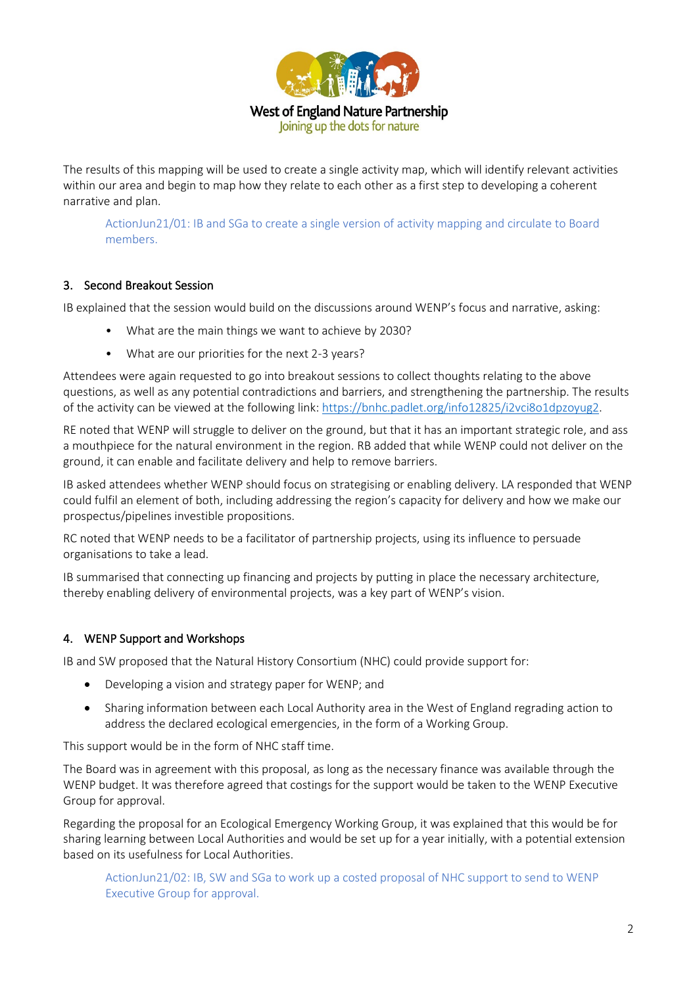

The results of this mapping will be used to create a single activity map, which will identify relevant activities within our area and begin to map how they relate to each other as a first step to developing a coherent narrative and plan.

ActionJun21/01: IB and SGa to create a single version of activity mapping and circulate to Board members.

#### 3. Second Breakout Session

IB explained that the session would build on the discussions around WENP's focus and narrative, asking:

- What are the main things we want to achieve by 2030?
- What are our priorities for the next 2-3 years?

Attendees were again requested to go into breakout sessions to collect thoughts relating to the above questions, as well as any potential contradictions and barriers, and strengthening the partnership. The results of the activity can be viewed at the following link: [https://bnhc.padlet.org/info12825/i2vci8o1dpzoyug2.](https://bnhc.padlet.org/info12825/i2vci8o1dpzoyug2)

RE noted that WENP will struggle to deliver on the ground, but that it has an important strategic role, and ass a mouthpiece for the natural environment in the region. RB added that while WENP could not deliver on the ground, it can enable and facilitate delivery and help to remove barriers.

IB asked attendees whether WENP should focus on strategising or enabling delivery. LA responded that WENP could fulfil an element of both, including addressing the region's capacity for delivery and how we make our prospectus/pipelines investible propositions.

RC noted that WENP needs to be a facilitator of partnership projects, using its influence to persuade organisations to take a lead.

IB summarised that connecting up financing and projects by putting in place the necessary architecture, thereby enabling delivery of environmental projects, was a key part of WENP's vision.

#### 4. WENP Support and Workshops

IB and SW proposed that the Natural History Consortium (NHC) could provide support for:

- Developing a vision and strategy paper for WENP; and
- Sharing information between each Local Authority area in the West of England regrading action to address the declared ecological emergencies, in the form of a Working Group.

This support would be in the form of NHC staff time.

The Board was in agreement with this proposal, as long as the necessary finance was available through the WENP budget. It was therefore agreed that costings for the support would be taken to the WENP Executive Group for approval.

Regarding the proposal for an Ecological Emergency Working Group, it was explained that this would be for sharing learning between Local Authorities and would be set up for a year initially, with a potential extension based on its usefulness for Local Authorities.

ActionJun21/02: IB, SW and SGa to work up a costed proposal of NHC support to send to WENP Executive Group for approval.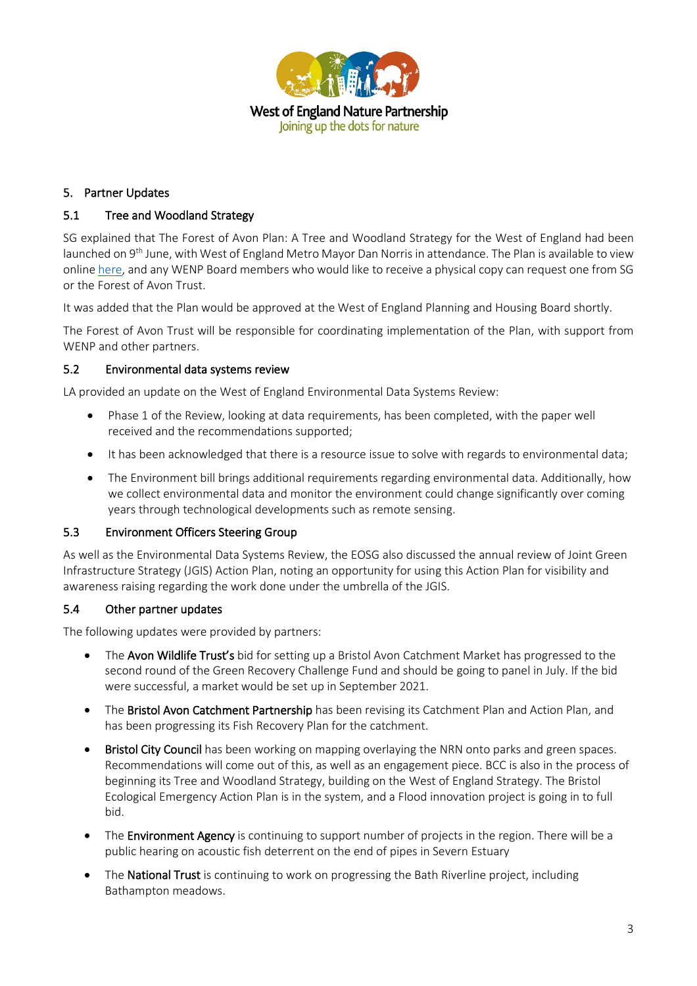

## 5. Partner Updates

### 5.1 Tree and Woodland Strategy

SG explained that The Forest of Avon Plan: A Tree and Woodland Strategy for the West of England had been launched on 9th June, with West of England Metro Mayor Dan Norris in attendance. The Plan is available to view online [here,](https://forestofavontrust.org/the-plan/) and any WENP Board members who would like to receive a physical copy can request one from SG or the Forest of Avon Trust.

It was added that the Plan would be approved at the West of England Planning and Housing Board shortly.

The Forest of Avon Trust will be responsible for coordinating implementation of the Plan, with support from WENP and other partners.

#### 5.2 Environmental data systems review

LA provided an update on the West of England Environmental Data Systems Review:

- Phase 1 of the Review, looking at data requirements, has been completed, with the paper well received and the recommendations supported;
- It has been acknowledged that there is a resource issue to solve with regards to environmental data;
- The Environment bill brings additional requirements regarding environmental data. Additionally, how we collect environmental data and monitor the environment could change significantly over coming years through technological developments such as remote sensing.

#### 5.3 Environment Officers Steering Group

As well as the Environmental Data Systems Review, the EOSG also discussed the annual review of Joint Green Infrastructure Strategy (JGIS) Action Plan, noting an opportunity for using this Action Plan for visibility and awareness raising regarding the work done under the umbrella of the JGIS.

#### 5.4 Other partner updates

The following updates were provided by partners:

- The Avon Wildlife Trust's bid for setting up a Bristol Avon Catchment Market has progressed to the second round of the Green Recovery Challenge Fund and should be going to panel in July. If the bid were successful, a market would be set up in September 2021.
- The Bristol Avon Catchment Partnership has been revising its Catchment Plan and Action Plan, and has been progressing its Fish Recovery Plan for the catchment.
- **Bristol City Council** has been working on mapping overlaying the NRN onto parks and green spaces. Recommendations will come out of this, as well as an engagement piece. BCC is also in the process of beginning its Tree and Woodland Strategy, building on the West of England Strategy. The Bristol Ecological Emergency Action Plan is in the system, and a Flood innovation project is going in to full bid.
- The Environment Agency is continuing to support number of projects in the region. There will be a public hearing on acoustic fish deterrent on the end of pipes in Severn Estuary
- The National Trust is continuing to work on progressing the Bath Riverline project, including Bathampton meadows.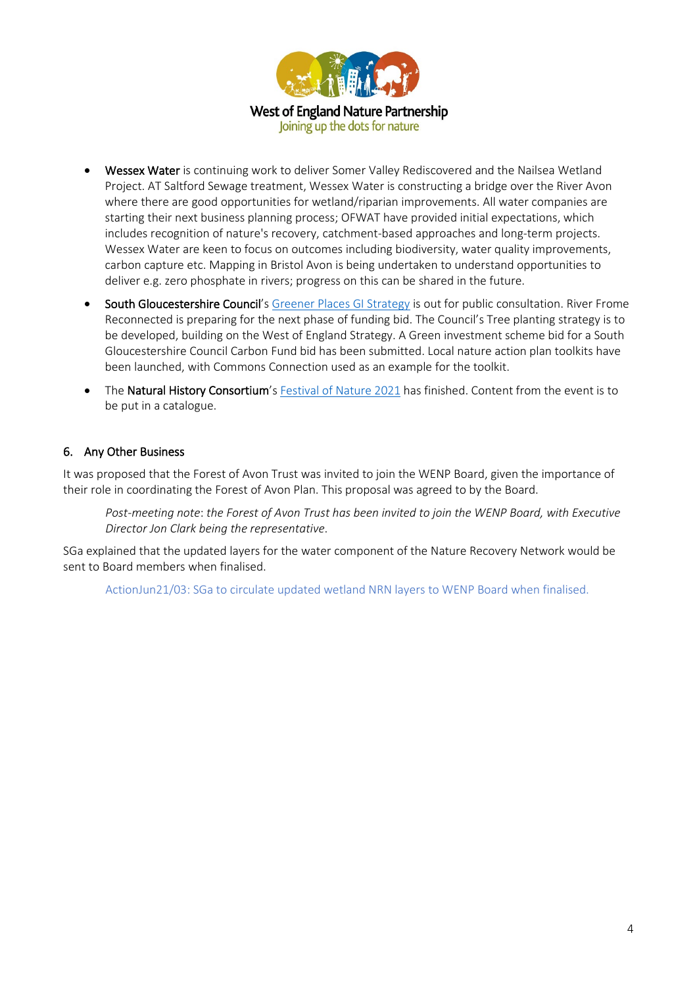

• Wessex Water is continuing work to deliver Somer Valley Rediscovered and the Nailsea Wetland Project. AT Saltford Sewage treatment, Wessex Water is constructing a bridge over the River Avon where there are good opportunities for wetland/riparian improvements. All water companies are starting their next business planning process; OFWAT have provided initial expectations, which includes recognition of nature's recovery, catchment-based approaches and long-term projects. Wessex Water are keen to focus on outcomes including biodiversity, water quality improvements, carbon capture etc. Mapping in Bristol Avon is being undertaken to understand opportunities to deliver e.g. zero phosphate in rivers; progress on this can be shared in the future.

- South Gloucestershire Council's [Greener Places](https://beta.southglos.gov.uk/publications/greener-places/) GI Strategy is out for public consultation. River Frome Reconnected is preparing for the next phase of funding bid. The Council's Tree planting strategy is to be developed, building on the West of England Strategy. A Green investment scheme bid for a South Gloucestershire Council Carbon Fund bid has been submitted. Local nature action plan toolkits have been launched, with Commons Connection used as an example for the toolkit.
- The Natural History Consortium's [Festival of Nature 2021](https://www.bnhc.org.uk/festival-of-nature/) has finished. Content from the event is to be put in a catalogue.

## 6. Any Other Business

It was proposed that the Forest of Avon Trust was invited to join the WENP Board, given the importance of their role in coordinating the Forest of Avon Plan. This proposal was agreed to by the Board.

*Post-meeting note*: *the Forest of Avon Trust has been invited to join the WENP Board, with Executive Director Jon Clark being the representative*.

SGa explained that the updated layers for the water component of the Nature Recovery Network would be sent to Board members when finalised.

ActionJun21/03: SGa to circulate updated wetland NRN layers to WENP Board when finalised.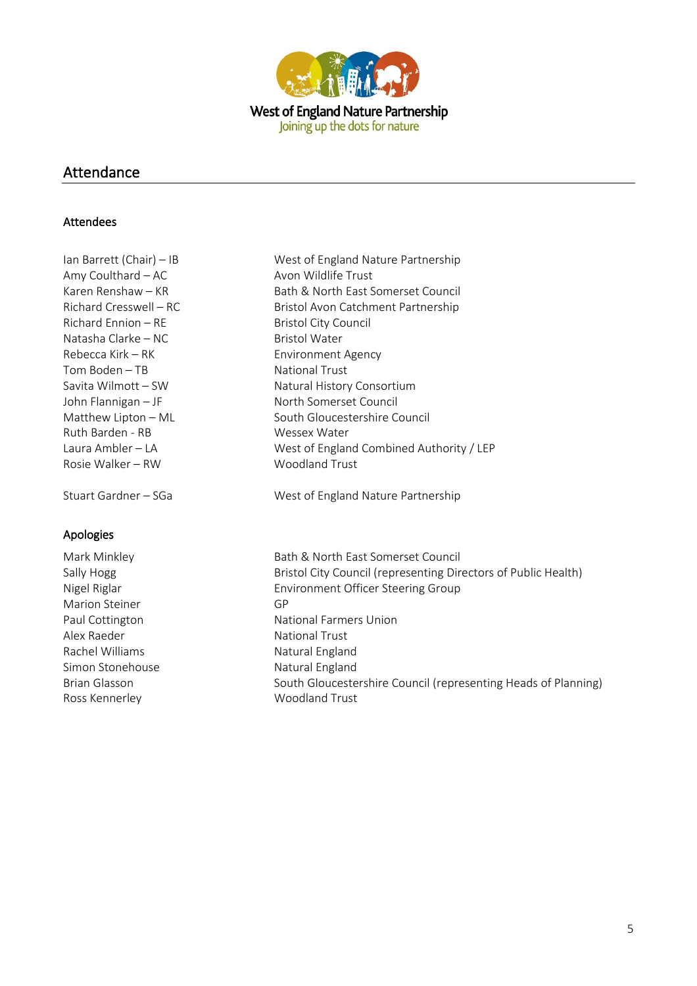

## Attendance

#### Attendees

Amy Coulthard – AC Avon Wildlife Trust Richard Ennion – RE Bristol City Council Natasha Clarke – NC<br>Rebecca Kirk – RK<br>Bristonment Tom Boden – TB National Trust Ruth Barden - RB Wessex Water Rosie Walker – RW Woodland Trust

## Apologies

- Marion Steiner GP Alex Raeder National Trust Rachel Williams Natural England Simon Stonehouse Natural England Ross Kennerley Moodland Trust
- Ian Barrett (Chair) IB West of England Nature Partnership Karen Renshaw – KR Bath & North East Somerset Council Richard Cresswell – RC Bristol Avon Catchment Partnership Environment Agency Savita Wilmott – SW Natural History Consortium John Flannigan – JF North Somerset Council Matthew Lipton – ML South Gloucestershire Council Laura Ambler – LA West of England Combined Authority / LEP

Stuart Gardner – SGa West of England Nature Partnership

Mark Minkley **Bath & North East Somerset Council** Sally Hogg Sally Hogg Bristol City Council (representing Directors of Public Health) Nigel Riglar Environment Officer Steering Group Paul Cottington National Farmers Union Brian Glasson South Gloucestershire Council (representing Heads of Planning)